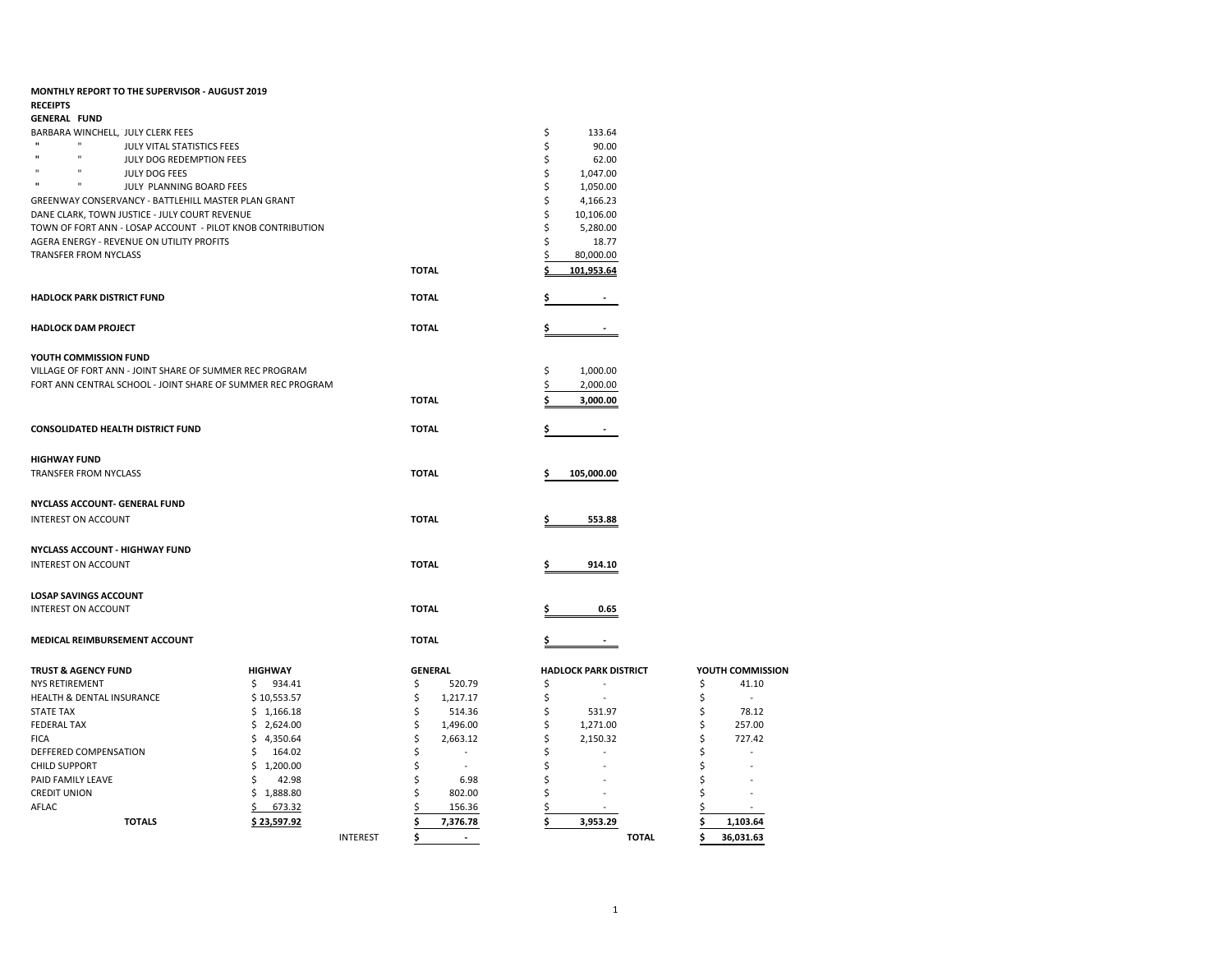| MONTHLY REPORT TO THE SUPERVISOR - AUGUST 2019                |                |                 |                          |                              |                  |
|---------------------------------------------------------------|----------------|-----------------|--------------------------|------------------------------|------------------|
| <b>RECEIPTS</b>                                               |                |                 |                          |                              |                  |
| <b>GENERAL FUND</b>                                           |                |                 |                          |                              |                  |
| BARBARA WINCHELL, JULY CLERK FEES<br>$\mathbf{u}$<br><b>H</b> |                |                 |                          | \$<br>133.64                 |                  |
| JULY VITAL STATISTICS FEES<br>n                               |                |                 |                          | \$<br>90.00                  |                  |
| JULY DOG REDEMPTION FEES<br>$\mathbf{u}$<br>n                 |                |                 |                          | \$<br>62.00                  |                  |
| JULY DOG FEES<br>H.<br>$\mathbf{u}$                           |                |                 |                          | \$<br>1,047.00               |                  |
| JULY PLANNING BOARD FEES                                      |                |                 |                          | \$<br>1,050.00               |                  |
| GREENWAY CONSERVANCY - BATTLEHILL MASTER PLAN GRANT           |                |                 |                          | \$<br>4,166.23               |                  |
| DANE CLARK, TOWN JUSTICE - JULY COURT REVENUE                 |                |                 |                          | \$<br>10,106.00              |                  |
| TOWN OF FORT ANN - LOSAP ACCOUNT - PILOT KNOB CONTRIBUTION    |                |                 |                          | \$<br>5,280.00               |                  |
| AGERA ENERGY - REVENUE ON UTILITY PROFITS                     |                |                 |                          | Ś<br>18.77<br>\$             |                  |
| <b>TRANSFER FROM NYCLASS</b>                                  |                |                 |                          | 80,000.00                    |                  |
|                                                               |                |                 | <b>TOTAL</b>             | 101,953.64                   |                  |
| <b>HADLOCK PARK DISTRICT FUND</b>                             |                |                 | <b>TOTAL</b>             |                              |                  |
| <b>HADLOCK DAM PROJECT</b>                                    |                |                 | <b>TOTAL</b>             | S                            |                  |
| YOUTH COMMISSION FUND                                         |                |                 |                          |                              |                  |
| VILLAGE OF FORT ANN - JOINT SHARE OF SUMMER REC PROGRAM       |                |                 |                          | 1,000.00<br>\$               |                  |
| FORT ANN CENTRAL SCHOOL - JOINT SHARE OF SUMMER REC PROGRAM   |                |                 |                          | 2,000.00                     |                  |
|                                                               |                |                 | <b>TOTAL</b>             | 3,000.00                     |                  |
|                                                               |                |                 |                          |                              |                  |
| <b>CONSOLIDATED HEALTH DISTRICT FUND</b>                      |                |                 | <b>TOTAL</b>             |                              |                  |
| <b>HIGHWAY FUND</b>                                           |                |                 |                          |                              |                  |
| TRANSFER FROM NYCLASS                                         |                |                 | <b>TOTAL</b>             | 105,000.00                   |                  |
| NYCLASS ACCOUNT- GENERAL FUND                                 |                |                 |                          |                              |                  |
| <b>INTEREST ON ACCOUNT</b>                                    |                |                 | <b>TOTAL</b>             | 553.88                       |                  |
| NYCLASS ACCOUNT - HIGHWAY FUND                                |                |                 |                          |                              |                  |
| <b>INTEREST ON ACCOUNT</b>                                    |                |                 | <b>TOTAL</b>             | 914.10                       |                  |
|                                                               |                |                 |                          |                              |                  |
| <b>LOSAP SAVINGS ACCOUNT</b>                                  |                |                 |                          |                              |                  |
| <b>INTEREST ON ACCOUNT</b>                                    |                |                 | <b>TOTAL</b>             | 0.65                         |                  |
|                                                               |                |                 |                          |                              |                  |
| MEDICAL REIMBURSEMENT ACCOUNT                                 |                |                 | <b>TOTAL</b>             |                              |                  |
| <b>TRUST &amp; AGENCY FUND</b>                                | <b>HIGHWAY</b> |                 | <b>GENERAL</b>           | <b>HADLOCK PARK DISTRICT</b> | YOUTH COMMISSION |
| NYS RETIREMENT                                                | \$<br>934.41   |                 | \$<br>520.79             | \$                           | \$<br>41.10      |
| <b>HEALTH &amp; DENTAL INSURANCE</b>                          | \$10,553.57    |                 | \$<br>1,217.17           | \$                           | \$<br>$\sim$     |
| <b>STATE TAX</b>                                              | \$1,166.18     |                 | \$<br>514.36             | \$<br>531.97                 | \$<br>78.12      |
| <b>FEDERAL TAX</b>                                            | \$2,624.00     |                 | \$<br>1,496.00           | \$<br>1,271.00               | \$<br>257.00     |
| <b>FICA</b>                                                   | \$4,350.64     |                 | \$<br>2,663.12           | \$<br>2,150.32               | \$<br>727.42     |
| DEFFERED COMPENSATION                                         | 164.02<br>\$   |                 | Ś<br>$\bar{\phantom{a}}$ | Ś                            | Ś                |
| <b>CHILD SUPPORT</b>                                          | \$1,200.00     |                 | \$<br>÷.                 | \$                           | Ś                |
| PAID FAMILY LEAVE                                             | Ś.<br>42.98    |                 | \$<br>6.98               | \$                           |                  |
| <b>CREDIT UNION</b>                                           | Ś.<br>1,888.80 |                 | Ś<br>802.00              | Ś                            | Ś                |
| AFLAC                                                         | 673.32         |                 | \$<br>156.36             | \$                           | \$               |
| <b>TOTALS</b>                                                 | \$23,597.92    |                 | \$<br>7,376.78           | \$<br>3,953.29               | \$<br>1,103.64   |
|                                                               |                | <b>INTEREST</b> | \$<br>$\sim$             | <b>TOTAL</b>                 | Ś<br>36,031.63   |
|                                                               |                |                 |                          |                              |                  |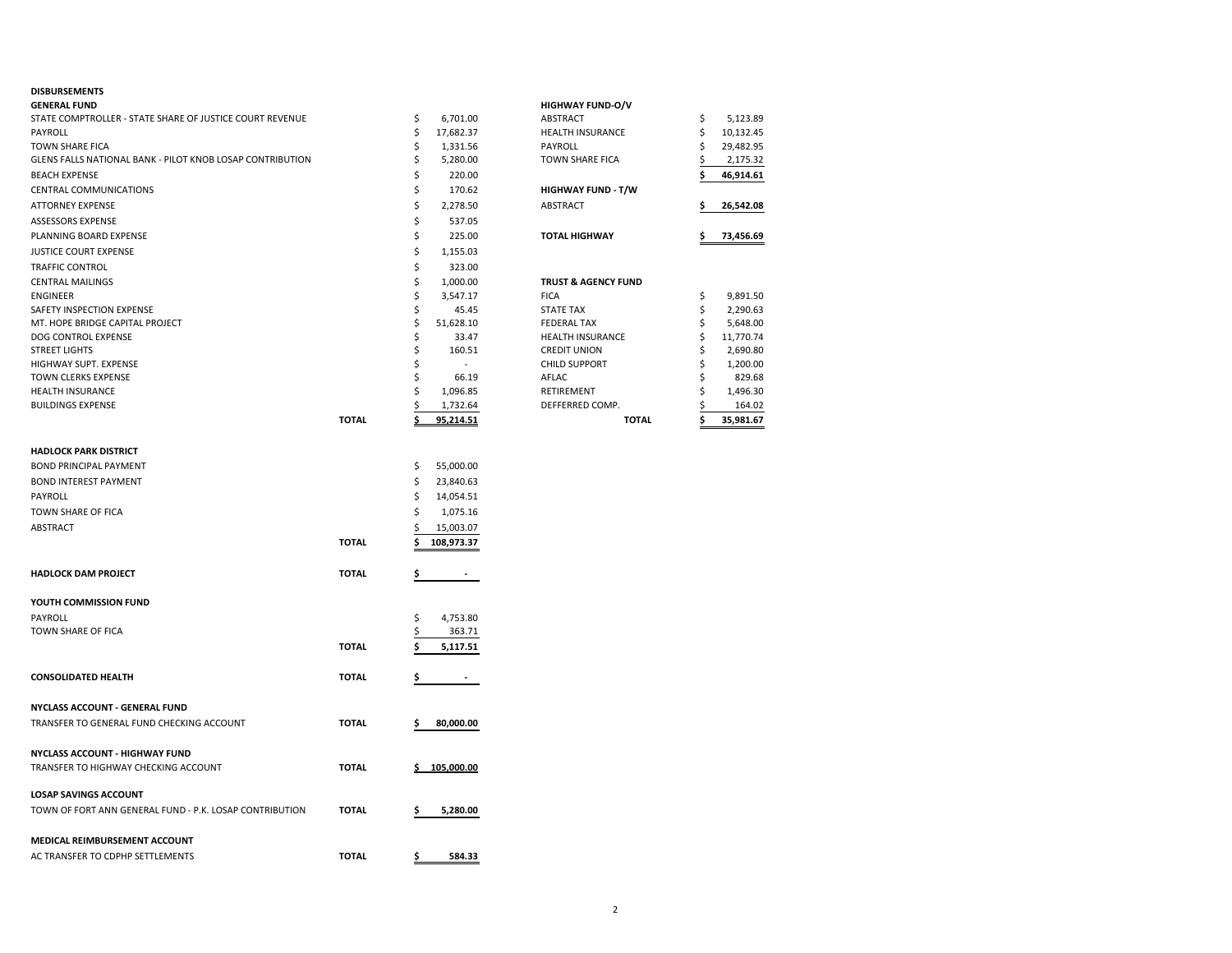## **DISBURSEMENTS**

| <b>GENERAL FUND</b>                                       |              |   |           | <b>HIGHWAY FUND-O/V</b>        |           |
|-----------------------------------------------------------|--------------|---|-----------|--------------------------------|-----------|
| STATE COMPTROLLER - STATE SHARE OF JUSTICE COURT REVENUE  |              | Ś | 6.701.00  | ABSTRACT                       | 5,123.89  |
| PAYROLL                                                   |              |   | 17.682.37 | <b>HEALTH INSURANCE</b>        | 10,132.45 |
| TOWN SHARE FICA                                           |              |   | 1,331.56  | PAYROLL                        | 29,482.95 |
| GLENS FALLS NATIONAL BANK - PILOT KNOB LOSAP CONTRIBUTION |              |   | 5,280.00  | <b>TOWN SHARE FICA</b>         | 2,175.32  |
| <b>BEACH EXPENSE</b>                                      |              |   | 220.00    |                                | 46,914.61 |
| <b>CENTRAL COMMUNICATIONS</b>                             |              |   | 170.62    | <b>HIGHWAY FUND - T/W</b>      |           |
| <b>ATTORNEY EXPENSE</b>                                   |              |   | 2,278.50  | ABSTRACT                       | 26,542.08 |
| <b>ASSESSORS EXPENSE</b>                                  |              |   | 537.05    |                                |           |
| PLANNING BOARD EXPENSE                                    |              |   | 225.00    | <b>TOTAL HIGHWAY</b>           | 73,456.69 |
| JUSTICE COURT EXPENSE                                     |              |   | 1,155.03  |                                |           |
| <b>TRAFFIC CONTROL</b>                                    |              |   | 323.00    |                                |           |
| <b>CENTRAL MAILINGS</b>                                   |              |   | 1.000.00  | <b>TRUST &amp; AGENCY FUND</b> |           |
| <b>ENGINEER</b>                                           |              |   | 3.547.17  | <b>FICA</b>                    | 9,891.50  |
| SAFETY INSPECTION EXPENSE                                 |              |   | 45.45     | <b>STATE TAX</b>               | 2,290.63  |
| MT. HOPE BRIDGE CAPITAL PROJECT                           |              |   | 51,628.10 | <b>FEDERAL TAX</b>             | 5,648.00  |
| DOG CONTROL EXPENSE                                       |              |   | 33.47     | <b>HEALTH INSURANCE</b>        | 11,770.74 |
| <b>STREET LIGHTS</b>                                      |              |   | 160.51    | <b>CREDIT UNION</b>            | 2,690.80  |
| <b>HIGHWAY SUPT. EXPENSE</b>                              |              |   |           | <b>CHILD SUPPORT</b>           | 1,200.00  |
| TOWN CLERKS EXPENSE                                       |              |   | 66.19     | AFLAC                          | 829.68    |
| <b>HEALTH INSURANCE</b>                                   |              |   | 1,096.85  | RETIREMENT                     | 1,496.30  |
| <b>BUILDINGS EXPENSE</b>                                  |              |   | 1,732.64  | DEFFERRED COMP.                | 164.02    |
|                                                           | <b>TOTAL</b> |   | 95,214.51 | <b>TOTAL</b>                   | 35,981.67 |

|              | \$<br>55,000.00  |
|--------------|------------------|
|              | \$<br>23,840.63  |
|              | \$<br>14,054.51  |
|              | \$<br>1,075.16   |
|              | \$<br>15,003.07  |
| <b>TOTAL</b> | \$<br>108,973.37 |
| <b>TOTAL</b> | \$               |
|              |                  |
|              | \$<br>4,753.80   |
|              | \$<br>363.71     |
| <b>TOTAL</b> | \$<br>5,117.51   |
| <b>TOTAL</b> | \$               |
|              |                  |
| <b>TOTAL</b> | \$<br>80,000.00  |
|              |                  |
| <b>TOTAL</b> | \$<br>105,000.00 |
|              |                  |
| <b>TOTAL</b> | \$<br>5,280.00   |
|              |                  |
| <b>TOTAL</b> | \$<br>584.33     |
|              |                  |